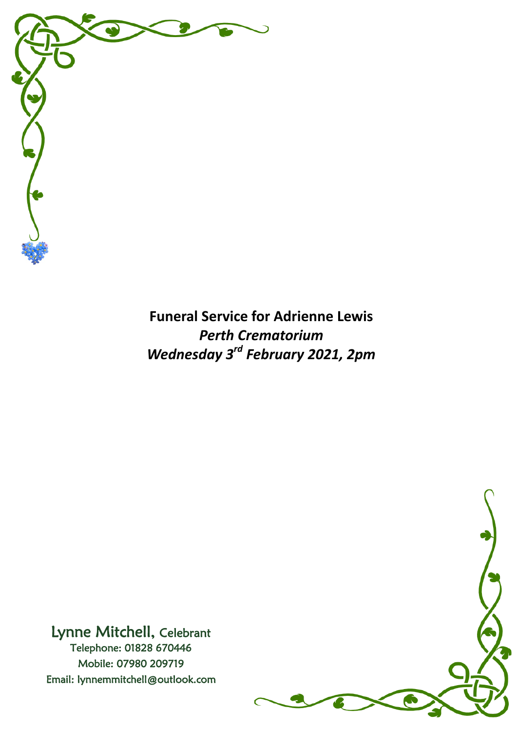

**Funeral Service for Adrienne Lewis** *Perth Crematorium Wednesday 3rd February 2021, 2pm*



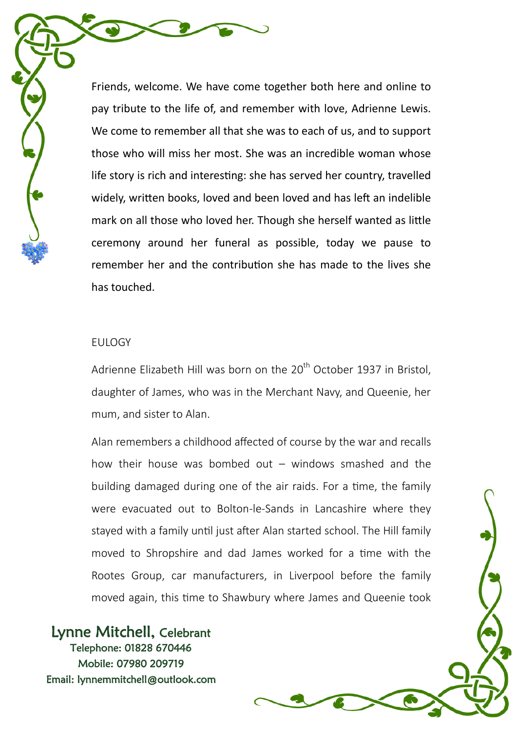Friends, welcome. We have come together both here and online to pay tribute to the life of, and remember with love, Adrienne Lewis. We come to remember all that she was to each of us, and to support those who will miss her most. She was an incredible woman whose life story is rich and interesting: she has served her country, travelled widely, written books, loved and been loved and has left an indelible mark on all those who loved her. Though she herself wanted as little ceremony around her funeral as possible, today we pause to remember her and the contribution she has made to the lives she has touched.

#### EULOGY

Adrienne Elizabeth Hill was born on the 20<sup>th</sup> October 1937 in Bristol. daughter of James, who was in the Merchant Navy, and Queenie, her mum, and sister to Alan.

Alan remembers a childhood affected of course by the war and recalls how their house was bombed out  $-$  windows smashed and the building damaged during one of the air raids. For a time, the family were evacuated out to Bolton-le-Sands in Lancashire where they stayed with a family until just after Alan started school. The Hill family moved to Shropshire and dad James worked for a time with the Rootes Group, car manufacturers, in Liverpool before the family moved again, this time to Shawbury where James and Queenie took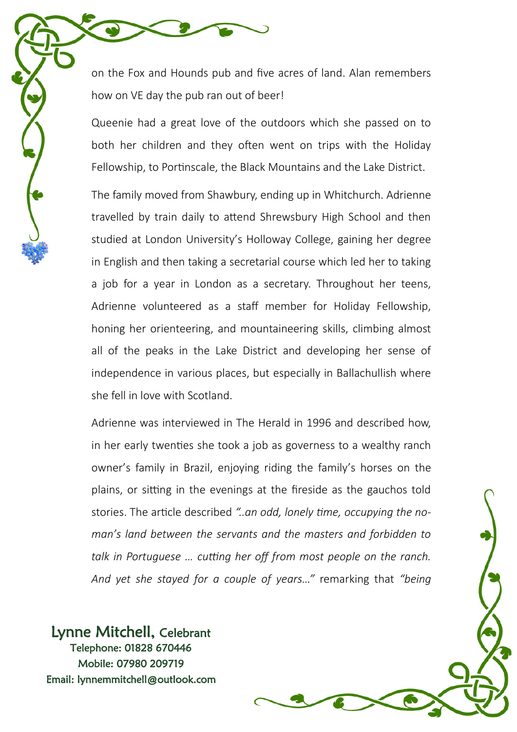on the Fox and Hounds pub and five acres of land. Alan remembers how on VE day the pub ran out of beer!

Queenie had a great love of the outdoors which she passed on to both her children and they often went on trips with the Holiday Fellowship, to Portinscale, the Black Mountains and the Lake District.

The family moved from Shawbury, ending up in Whitchurch. Adrienne travelled by train daily to attend Shrewsbury High School and then studied at London University's Holloway College, gaining her degree in English and then taking a secretarial course which led her to taking a job for a year in London as a secretary. Throughout her teens, Adrienne volunteered as a staff member for Holiday Fellowship, honing her orienteering, and mountaineering skills, climbing almost all of the peaks in the Lake District and developing her sense of independence in various places, but especially in Ballachullish where she fell in love with Scotland.

Adrienne was interviewed in The Herald in 1996 and described how, in her early twenties she took a job as governess to a wealthy ranch owner's family in Brazil, enjoying riding the family's horses on the plains, or sitting in the evenings at the fireside as the gauchos told stories. The article described *"..an odd, lonely time, occupying the noman's land between the servants and the masters and forbidden to talk in Portuguese … cutting her off from most people on the ranch. And yet she stayed for a couple of years…"* remarking that *"being*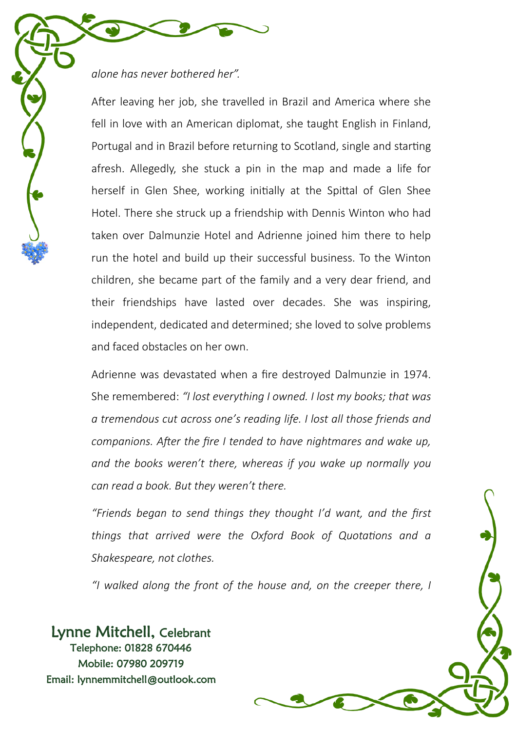## *alone has never bothered her".*

After leaving her job, she travelled in Brazil and America where she fell in love with an American diplomat, she taught English in Finland, Portugal and in Brazil before returning to Scotland, single and starting afresh. Allegedly, she stuck a pin in the map and made a life for herself in Glen Shee, working initially at the Spittal of Glen Shee Hotel. There she struck up a friendship with Dennis Winton who had taken over Dalmunzie Hotel and Adrienne joined him there to help run the hotel and build up their successful business. To the Winton children, she became part of the family and a very dear friend, and their friendships have lasted over decades. She was inspiring, independent, dedicated and determined; she loved to solve problems and faced obstacles on her own.

Adrienne was devastated when a fire destroyed Dalmunzie in 1974. She remembered: *"I lost everything I owned. I lost my books; that was a tremendous cut across one's reading life. I lost all those friends and companions. After the fire I tended to have nightmares and wake up, and the books weren't there, whereas if you wake up normally you can read a book. But they weren't there.*

*"Friends began to send things they thought I'd want, and the first things that arrived were the Oxford Book of Quotations and a Shakespeare, not clothes.*

*"I walked along the front of the house and, on the creeper there, I*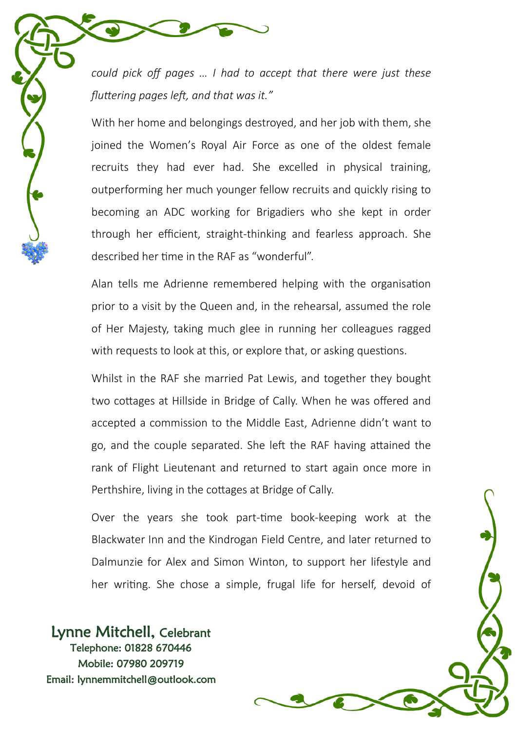*could pick off pages … I had to accept that there were just these fluttering pages left, and that was it."*

With her home and belongings destroyed, and her job with them, she joined the Women's Royal Air Force as one of the oldest female recruits they had ever had. She excelled in physical training, outperforming her much younger fellow recruits and quickly rising to becoming an ADC working for Brigadiers who she kept in order through her efficient, straight-thinking and fearless approach. She described her time in the RAF as "wonderful".

Alan tells me Adrienne remembered helping with the organisation prior to a visit by the Queen and, in the rehearsal, assumed the role of Her Majesty, taking much glee in running her colleagues ragged with requests to look at this, or explore that, or asking questions.

Whilst in the RAF she married Pat Lewis, and together they bought two cottages at Hillside in Bridge of Cally. When he was offered and accepted a commission to the Middle East, Adrienne didn't want to go, and the couple separated. She left the RAF having attained the rank of Flight Lieutenant and returned to start again once more in Perthshire, living in the cottages at Bridge of Cally.

Over the years she took part-time book-keeping work at the Blackwater Inn and the Kindrogan Field Centre, and later returned to Dalmunzie for Alex and Simon Winton, to support her lifestyle and her writing. She chose a simple, frugal life for herself, devoid of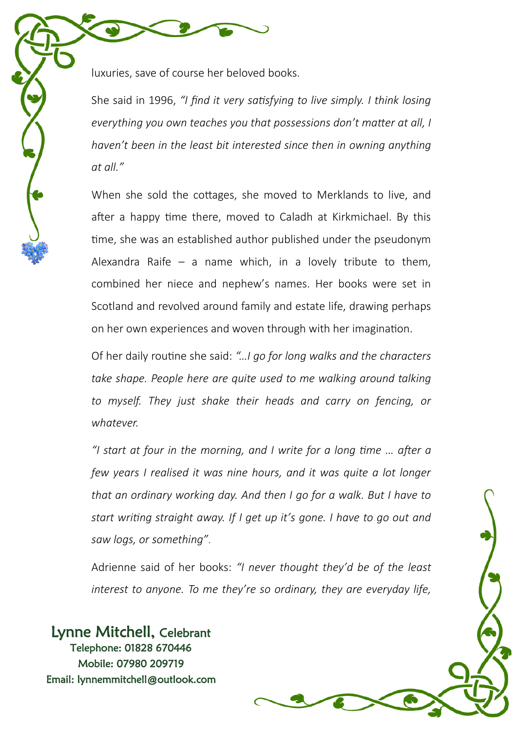She said in 1996, *"I find it very satisfying to live simply. I think losing everything you own teaches you that possessions don't matter at all, I haven't been in the least bit interested since then in owning anything at all."*

When she sold the cottages, she moved to Merklands to live, and after a happy time there, moved to Caladh at Kirkmichael. By this time, she was an established author published under the pseudonym Alexandra Raife – a name which, in a lovely tribute to them, combined her niece and nephew's names. Her books were set in Scotland and revolved around family and estate life, drawing perhaps on her own experiences and woven through with her imagination.

Of her daily routine she said: *"…I go for long walks and the characters take shape. People here are quite used to me walking around talking to myself. They just shake their heads and carry on fencing, or whatever.*

*"I start at four in the morning, and I write for a long time … after a few years I realised it was nine hours, and it was quite a lot longer that an ordinary working day. And then I go for a walk. But I have to start writing straight away. If I get up it's gone. I have to go out and saw logs, or something"*.

Adrienne said of her books: *"I never thought they'd be of the least interest to anyone. To me they're so ordinary, they are everyday life,*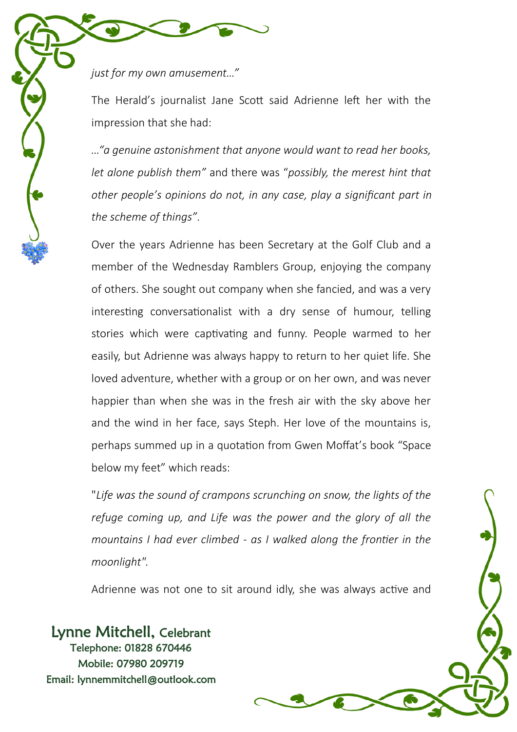*just for my own amusement…"*

The Herald's journalist Jane Scott said Adrienne left her with the impression that she had:

*…"a genuine astonishment that anyone would want to read her books, let alone publish them"* and there was "*possibly, the merest hint that other people's opinions do not, in any case, play a significant part in the scheme of things"*.

Over the years Adrienne has been Secretary at the Golf Club and a member of the Wednesday Ramblers Group, enjoying the company of others. She sought out company when she fancied, and was a very interesting conversationalist with a dry sense of humour, telling stories which were captivating and funny. People warmed to her easily, but Adrienne was always happy to return to her quiet life. She loved adventure, whether with a group or on her own, and was never happier than when she was in the fresh air with the sky above her and the wind in her face, says Steph. Her love of the mountains is, perhaps summed up in a quotation from Gwen Moffat's book "Space below my feet" which reads:

"*Life was the sound of crampons scrunching on snow, the lights of the refuge coming up, and Life was the power and the glory of all the mountains I had ever climbed - as I walked along the frontier in the moonlight".*

Adrienne was not one to sit around idly, she was always active and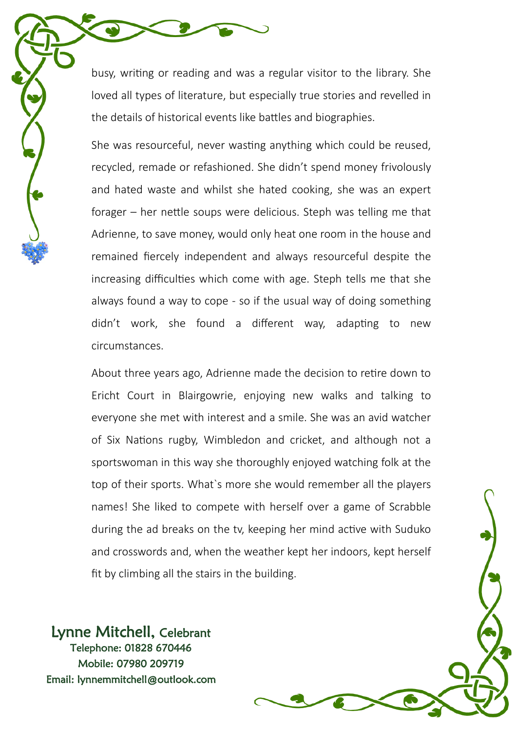busy, writing or reading and was a regular visitor to the library. She loved all types of literature, but especially true stories and revelled in the details of historical events like battles and biographies.

She was resourceful, never wasting anything which could be reused, recycled, remade or refashioned. She didn't spend money frivolously and hated waste and whilst she hated cooking, she was an expert forager – her nettle soups were delicious. Steph was telling me that Adrienne, to save money, would only heat one room in the house and remained fiercely independent and always resourceful despite the increasing difficulties which come with age. Steph tells me that she always found a way to cope - so if the usual way of doing something didn't work, she found a different way, adapting to new circumstances.

About three years ago, Adrienne made the decision to retire down to Ericht Court in Blairgowrie, enjoying new walks and talking to everyone she met with interest and a smile. She was an avid watcher of Six Nations rugby, Wimbledon and cricket, and although not a sportswoman in this way she thoroughly enjoyed watching folk at the top of their sports. What`s more she would remember all the players names! She liked to compete with herself over a game of Scrabble during the ad breaks on the tv, keeping her mind active with Suduko and crosswords and, when the weather kept her indoors, kept herself fit by climbing all the stairs in the building.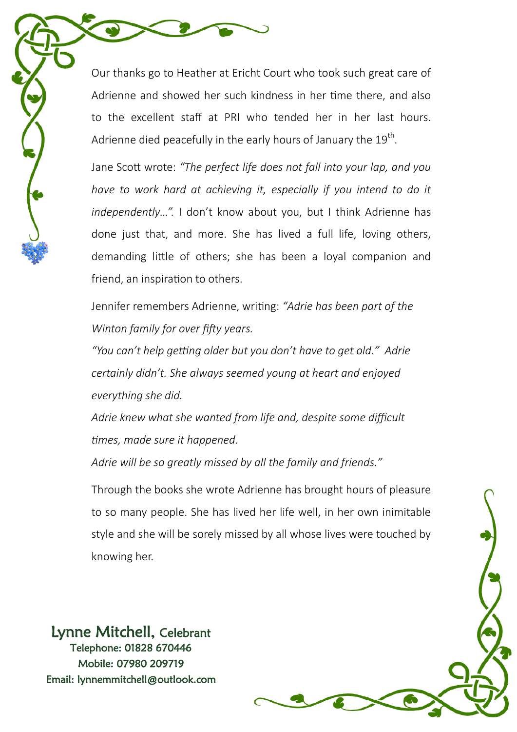Our thanks go to Heather at Ericht Court who took such great care of Adrienne and showed her such kindness in her time there, and also to the excellent staff at PRI who tended her in her last hours. Adrienne died peacefully in the early hours of January the  $19^\text{th}$ .

Jane Scott wrote: *"The perfect life does not fall into your lap, and you have to work hard at achieving it, especially if you intend to do it independently…".* I don't know about you, but I think Adrienne has done just that, and more. She has lived a full life, loving others, demanding little of others; she has been a loyal companion and friend, an inspiration to others.

Jennifer remembers Adrienne, writing: *"Adrie has been part of the Winton family for over fifty years.*

*"You can't help getting older but you don't have to get old." Adrie certainly didn't. She always seemed young at heart and enjoyed everything she did.*

*Adrie knew what she wanted from life and, despite some difficult times, made sure it happened.*

*Adrie will be so greatly missed by all the family and friends."*

Through the books she wrote Adrienne has brought hours of pleasure to so many people. She has lived her life well, in her own inimitable style and she will be sorely missed by all whose lives were touched by knowing her.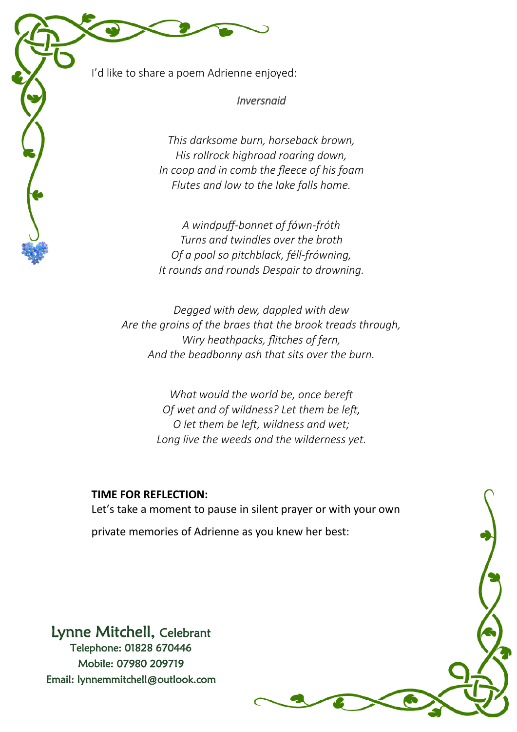I'd like to share a poem Adrienne enjoyed:

*Inversnaid* 

*This darksome burn, horseback brown, His rollrock highroad roaring down, In coop and in comb the fleece of his foam Flutes and low to the lake falls home.*

*A windpuff-bonnet of fáwn-fróth Turns and twindles over the broth Of a pool so pitchblack, féll-frówning, It rounds and rounds Despair to drowning.*

*Degged with dew, dappled with dew Are the groins of the braes that the brook treads through, Wiry heathpacks, flitches of fern, And the beadbonny ash that sits over the burn.*

> *What would the world be, once bereft Of wet and of wildness? Let them be left, O let them be left, wildness and wet; Long live the weeds and the wilderness yet.*

### **TIME FOR REFLECTION:**

Let's take a moment to pause in silent prayer or with your own private memories of Adrienne as you knew her best: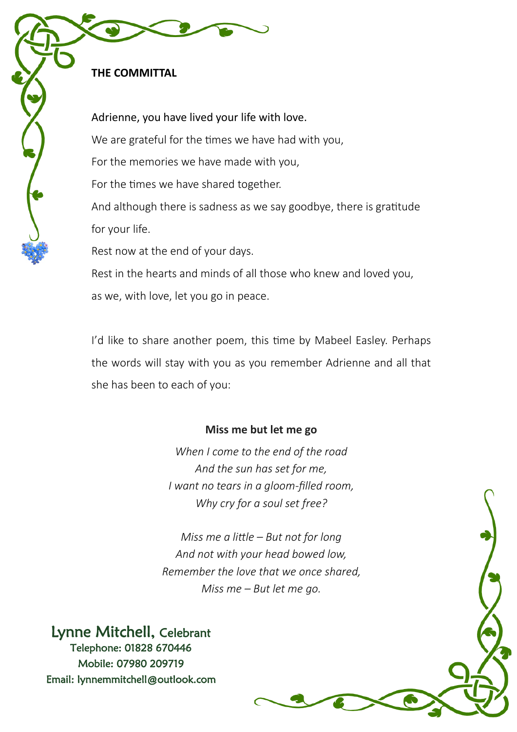# **THE COMMITTAL**

Adrienne, you have lived your life with love. We are grateful for the times we have had with you, For the memories we have made with you, For the times we have shared together. And although there is sadness as we say goodbye, there is gratitude for your life. Rest now at the end of your days. Rest in the hearts and minds of all those who knew and loved you, as we, with love, let you go in peace.

I'd like to share another poem, this time by Mabeel Easley. Perhaps the words will stay with you as you remember Adrienne and all that she has been to each of you:

## **Miss me but let me go**

*When I come to the end of the road And the sun has set for me, I want no tears in a gloom-filled room, Why cry for a soul set free?*

*Miss me a little – But not for long And not with your head bowed low, Remember the love that we once shared, Miss me – But let me go.*